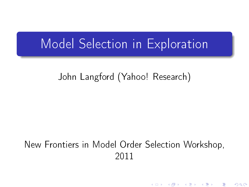#### Model Selection in Exploration

#### John Langford (Yahoo! Research)

#### <span id="page-0-0"></span>New Frontiers in Model Order Selection Workshop, 2011

K ロ ▶ | K @ ▶ | K 콜 ▶ | K 콜 ▶ | 『 콜

つくへ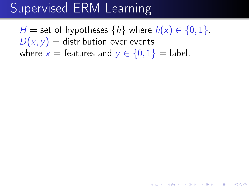## Supervised ERM Learning

H = set of hypotheses  $\{h\}$  where  $h(x) \in \{0, 1\}$ .  $D(x, y) =$  distribution over events where  $x =$  features and  $y \in \{0, 1\} =$  label.

(ロ) (御) (君) (君) (君) 君 のぬの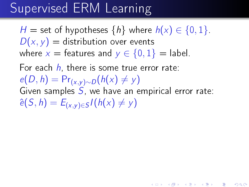## Supervised ERM Learning

H = set of hypotheses  $\{h\}$  where  $h(x) \in \{0,1\}$ .  $D(x, y) =$  distribution over events where  $x =$  features and  $y \in \{0, 1\} =$  label.

For each  $h$ , there is some true error rate:

 $e(D, h) = Pr_{(x,y)\sim D}(h(x) \neq y)$ 

Given samples  $S$ , we have an empirical error rate:  $\hat{e}(S, h) = E_{(x,y)\in S} I(h(x) \neq y)$ 

(ロ) (御) (君) (君) (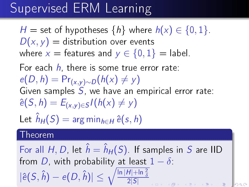## Supervised ERM Learning

H = set of hypotheses  $\{h\}$  where  $h(x) \in \{0, 1\}$ .  $D(x, y) =$  distribution over events where  $x =$  features and  $y \in \{0, 1\} =$  label.

For each  $h$ , there is some true error rate:

 $e(D, h) = Pr_{(x,y)\sim D}(h(x) \neq y)$ Given samples  $S$ , we have an empirical error rate:  $\hat{e}(S, h) = E_{(x,y)\in S} I(h(x) \neq y)$ Let  $\hat{h}_H(S) = \arg \min_{h \in H} \hat{e}(s, h)$ 

#### Theorem

For all H, D, let  $\hat{h} = \hat{h}_H(S)$ . If samples in S are IID from D, with probability at least  $1 - \delta$ .  $|\hat{e}(S, \hat{h}) - e(D, \hat{h})| \leq \sqrt{\frac{\ln |H| + \ln \frac{2}{\delta}}{2|S|}}$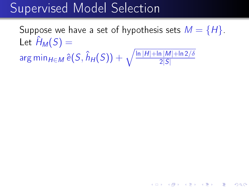#### Supervised Model Selection

Suppose we have a set of hypothesis sets  $M = \{H\}$ . Let  $\hat{H}_M(S) =$  $\argmin_{H \in M} \widehat{e}(S, \hat{h}_H(S)) + \sqrt{\frac{\ln |H| + \ln |M| + \ln 2/\delta}{2|S|}}$ 

★ ロン → 御 > → ( 唐 > → 唐 > ○ 唐)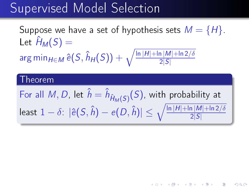#### Supervised Model Selection

Suppose we have a set of hypothesis sets  $M = \{H\}$ . Let  $\hat{H}_M(S) =$  $\argmin_{H \in M} \widehat{e}(S, \hat{h}_H(S)) + \sqrt{\frac{\ln |H| + \ln |M| + \ln 2/\delta}{2|S|}}$ 

#### Theorem

For all  $M, D$ , let  $\hat{h} = \hat{h}_{\hat{H}_M(S)}(S)$ , with probability at least  $1-\delta^+|\hat{e}(S,\hat{h})-e(D,\hat{h})|\leq \sqrt{\frac{\ln |H|+\ln |M|+\ln 2/\delta}{2|S|}}$ 

◆ロ→ → 御→ → (君→ → (君→ ) (君)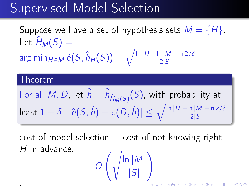#### Supervised Model Selection

Suppose we have a set of hypothesis sets  $M = \{H\}$ . Let  $\hat{H}_M(S) =$  $\argmin_{H \in M} \widehat{e}(S, \hat{h}_H(S)) + \sqrt{\frac{\ln |H| + \ln |M| + \ln 2/\delta}{2|S|}}$ 

#### Theorem

.

For all  $M, D$ , let  $\hat{h} = \hat{h}_{\hat{H}_M(S)}(S)$ , with probability at least  $1-\delta^+|\hat{e}(S,\hat{h})-e(D,\hat{h})|\leq \sqrt{\frac{\ln |H|+\ln |M|+\ln 2/\delta}{2|S|}}$ 

 $\cot$  of model selection  $=$  cost of not knowing right H in advance.

$$
O\left(\sqrt{\frac{\ln |M|}{|S|}}\right)
$$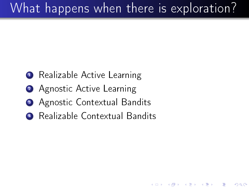# What happens when there is exploration?

K ロ ▶ | K @ ▶ | K 결 ▶ | K 결 ▶ |

准

つくへ

- **1** Realizable Active Learning
- 2 Agnostic Active Learning
- **3** Agnostic Contextual Bandits
- <span id="page-7-0"></span>Realizable Contextual Bandits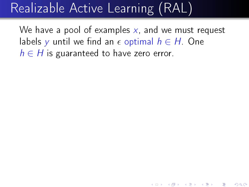# Realizable Active Learning (RAL)

We have a pool of examples  $x$ , and we must request labels y until we find an  $\epsilon$  optimal  $h \in H$  One  $h \in H$  is guaranteed to have zero error.

<span id="page-8-0"></span>★ ロン → 御 > → ( 할 > → ( 할 > ) → 할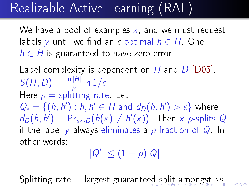# Realizable Active Learning (RAL)

We have a pool of examples  $x$ , and we must request labels y until we find an  $\epsilon$  optimal  $h \in H$  One  $h \in H$  is guaranteed to have zero error.

Label complexity is dependent on  $H$  and  $D$  [D05].  $S(H, D) = \frac{\ln |H|}{\rho} \ln 1/\epsilon$ Here  $\rho =$  splitting rate. Let  $Q_\epsilon = \{(h,h'): h,h' \in H \text{ and } d_D(h,h') > \epsilon\}$  where  $d_D(h, h') = Pr_{x \sim D}(h(x) \neq h'(x))$ . Then x  $\rho$ -splits Q if the label y always eliminates a  $\rho$  fraction of Q. In other words:

 $|Q'| \leq (1 - \rho)|Q|$ 

<span id="page-9-0"></span>Splitting rate = largest guarante[ed](#page-8-0) [s](#page-10-0)[pl](#page-7-0)[i](#page-8-0)[t](#page-33-0) [a](#page-10-0)[m](#page-0-0)[on](#page-33-0)[gs](#page-0-0)t [xs](#page-0-0)[.](#page-33-0)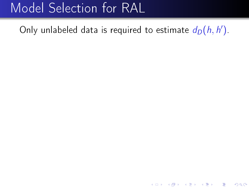<span id="page-10-0"></span>Only unlabeled data is required to estimate  $d_D(h, h')$ .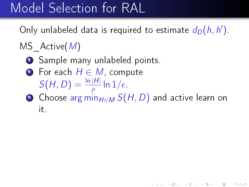Only unlabeled data is required to estimate  $d_D(h, h')$ .

#### MS  $Active(M)$

- **1** Sample many unlabeled points.
- **2** For each  $H \in M$ , compute  $S(H, D) = \frac{\ln |H|}{\rho} \ln 1/\epsilon$
- **3** Choose arg min $H \in M$   $S(H, D)$  and active learn on it.

《 ロ 》 《 御 》 《 君 》 《 君 》 ○ 君

つくへ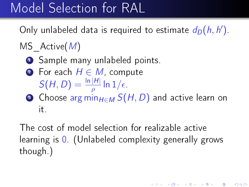Only unlabeled data is required to estimate  $d_D(h, h')$ .

#### MS  $Active(M)$

- **1** Sample many unlabeled points.
- **2** For each  $H \in M$ , compute  $S(H, D) = \frac{\ln |H|}{\rho} \ln 1/\epsilon$
- **3** Choose arg min $H \in M$   $S(H, D)$  and active learn on it.

The cost of model selection for realizable active learning is 0. (Unlabeled complexity generally grows though.)

《 ロ 》 《 御 》 《 君 》 《 君 》 ○ 君

 $2Q$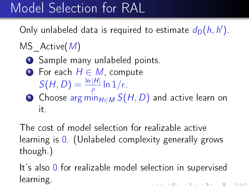Only unlabeled data is required to estimate  $d_D(h, h')$ .

#### MS  $Active(M)$

- **1** Sample many unlabeled points.
- **2** For each  $H \in M$ , compute  $S(H, D) = \frac{\ln |H|}{\rho} \ln 1/\epsilon$
- **3** Choose arg min $H \in M$   $S(H, D)$  and active learn on it.

The cost of model selection for realizable active learning is 0. (Unlabeled complexity generally grows though.)

It's also 0 for realizable model selection in supervised learning.《 ロ 》 《 御 》 《 君 》 《 君 》 ○ 君

つくへ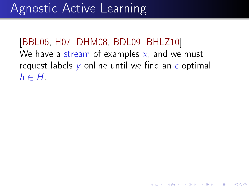[BBL06, H07, DHM08, BDL09, BHLZ10] We have a stream of examples  $x$ , and we must request labels y online until we find an  $\epsilon$  optimal  $h \in H$ 

《 ロ 》 《 御 》 《 君 》 《 君 》 ○ 君

つくへ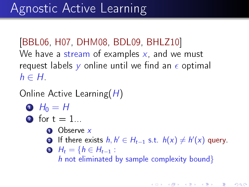[BBL06, H07, DHM08, BDL09, BHLZ10] We have a stream of examples  $x$ , and we must request labels y online until we find an  $\epsilon$  optimal  $h \in H$ .

Online Active Learning(H)

- $\bullet$  H<sub>0</sub> = H
- 2 for  $t = 1$ ...
	- **1** Observe x
	- **2** If there exists  $h, h' \in H_{t-1}$  s.t.  $h(x) \neq h'(x)$  query.

 $\bullet$   $H_t = \{h \in H_{t-1} :$ h not eliminated by sample complexity bound}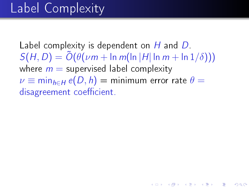### Label Complexity

Label complexity is dependent on H and D.  $S(H, D) = \tilde{O}(\theta(\nu m + \ln m(\ln |H| \ln m + \ln 1/\delta)))$ where  $m =$  supervised label complexity  $\nu \equiv \min_{h \in H} e(D, h) = \text{minimum error rate } \theta =$ disagreement coefficient.

《 ロ 》 《 御 》 《 君 》 《 君 》 《 君

 $2Q$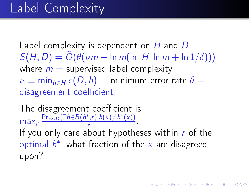#### Label Complexity

Label complexity is dependent on H and D.  $S(H, D) = \tilde{O}(\theta(\nu m + \ln m(\ln |H| \ln m + \ln 1/\delta)))$ where  $m =$  supervised label complexity  $\nu \equiv \min_{h \in H} e(D, h) = \text{minimum error rate } \theta =$ disagreement coefficient.

The disagreement coefficient is max<sub>r</sub>  $\frac{\Pr_{x \sim D}(\exists h \in B(h^*, r): h(x) \neq h^*(x))}{r}$  $\frac{(r_1r_2r_3r_4r_5)}{r}$ If you only care about hypotheses within  $r$  of the optimal  $h^*$ , what fraction of the  $x$  are disagreed upon?

K ロ X - K @ X - K 포 X - K 포 X - 포

 $2Q$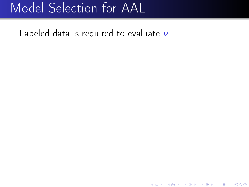Labeled data is required to evaluate  $\nu!$ 

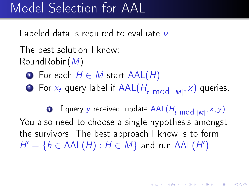Labeled data is required to evaluate  $\nu$ !

The best solution I know: RoundRobin(M)

- $\bigcirc$  For each  $H \in M$  start  $AAL(H)$
- $\textbf{P}$  For  $x_t$  query label if AAL( $H_{t\ \text{mod}\ |M|},x)$  queries.

 $\textbf{D}$  If query  $y$  received, update  $\mathsf{AAL}(H_{t\ \text{mod}\ |\mathcal{M}|},x,y).$ You also need to choose a single hypothesis amongst the survivors. The best approach I know is to form  $H' = \{ h \in \text{AAL}(H) : H \in M \}$  and run  $\text{AAL}(H')$ .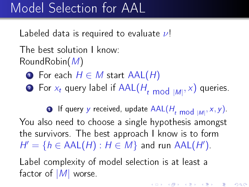Labeled data is required to evaluate  $\nu$ !

The best solution I know: RoundRobin(M)

- $\bigcirc$  For each  $H \in M$  start  $AAL(H)$
- $\textbf{P}$  For  $x_t$  query label if AAL( $H_{t\ \text{mod}\ |M|},x)$  queries.

 $\textbf{D}$  If query  $y$  received, update  $\mathsf{AAL}(H_{t\ \text{mod}\ |\mathcal{M}|},x,y).$ You also need to choose a single hypothesis amongst the survivors. The best approach I know is to form  $H' = \{ h \in \text{AAL}(H) : H \in M \}$  and run  $\text{AAL}(H')$ .

Label complexity of model selection is at least a factor of  $|M|$  worse.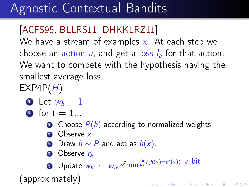## Agnostic Contextual Bandits

#### [ACFS95, BLLRS11, DHKKLRZ11]

We have a stream of examples  $x$ . At each step we choose an action a, and get a loss  $l_a$  for that action. We want to compete with the hypothesis having the smallest average loss.  $EXP4P(H)$ 

• Let 
$$
w_h = 1
$$

2 for  $t = 1$ ...

- **O** Choose  $P(h)$  according to normalized weights.
- **2** Observe x
- **3** Draw  $h \sim P$  and act as  $h(x)$ .
- **4** Observe r<sub>a</sub>

**D** Update  $w_{h'} \leftarrow w_{h'}e^{p} \min_{p_{a}} \frac{r_{a}}{p} I(h(x)=h'(x)) + a$  bit

(approximately)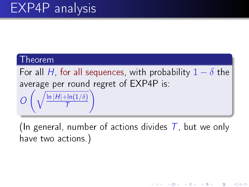T

#### Theorem

For all H, for all sequences, with probability  $1 - \delta$  the average per round regret of EXP4P is:  $\mathcal O$  $\left( \frac{1}{2} \right)$  $\overline{\ln |H| + \ln(1/\delta)}$  $\setminus$ 

(In general, number of actions divides  $T$ , but we only have two actions.)

K ロ ▶ (K @ ) | K 글 ) | K 글 ) | [ 글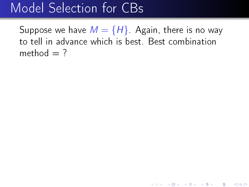#### Model Selection for CBs

Suppose we have  $M = \{H\}$  Again, there is no way to tell in advance which is best. Best combination method  $= ?$ 

《 ロ 》 《 御 》 《 君 》 《 君 》 《 君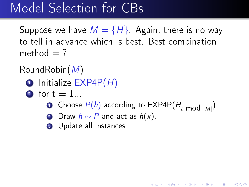#### Model Selection for CBs

Suppose we have  $M = \{H\}$  Again, there is no way to tell in advance which is best. Best combination method  $=$  ?

RoundRobin(M)

- $\bullet$  Initialize EXP4P $(H)$
- 2 for  $t = 1$ .
	- $\bullet$  Choose  $P(h)$  according to EXP4P( $H_{t\,\,\text{mod}\,\,|M|}$ )

★ ロン → 御 > → ( 할 > → ( 할 > ) → 할

- 2 Draw  $h \sim P$  and act as  $h(x)$ .
- **3** Update all instances.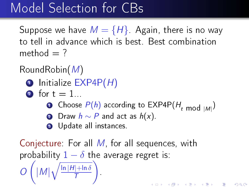#### Model Selection for CBs

Suppose we have  $M = \{H\}$  Again, there is no way to tell in advance which is best. Best combination method  $= ?$ 

RoundRobin(M)

- $\bullet$  Initialize EXP4P $(H)$
- 2 for  $t = 1$ .
	- $\bullet$  Choose  $P(h)$  according to EXP4P( $H_{t\,\,\text{mod}\,\,|M|}$ )
	- **2** Draw  $h \sim P$  and act as  $h(x)$ .
	- **3** Update all instances.

Conjecture: For all M, for all sequences, with probability  $1 - \delta$  the average regret is: O  $\sqrt{ }$  $|M| \sqrt{\frac{\ln |H| + \ln \delta}{T}}$ T ). .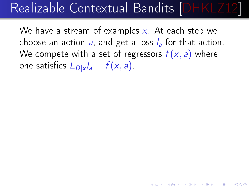## Realizable Contextual Bandits [DHKLZ12]

We have a stream of examples  $x$ . At each step we choose an action a, and get a loss  $l_a$  for that action. We compete with a set of regressors  $f(x, a)$  where one satisfies  $E_{D|x}$   $l_a=f(x,a)$  .

◆ ロン → 御 > → ( 끝 > → ( 끝 > → ) 끝

 $2Q$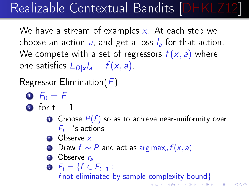# Realizable Contextual Bandits [DHKLZ12]

We have a stream of examples  $x$ . At each step we choose an action a, and get a loss  $l_a$  for that action. We compete with a set of regressors  $f(x, a)$  where one satisfies  $E_{D|x}$   $l_a=f(x,a)$  .

Regressor Elimination( $F$ )

- $\bullet$   $F_0 = F$
- 2 for  $t = 1$ ...
	- **O** Choose  $P(f)$  so as to achieve near-uniformity over  $F_{t-1}$ 's actions.
	- **2** Observe x
	- **3** Draw  $f \sim P$  and act as arg max<sub>a</sub>  $f(x, a)$ .
	- **4** Observe r<sub>a</sub>

 $\bullet$   $F_t = \{f \in F_{t-1} :$ f not eliminated by sample complexity bound  $\}$ K ロ ▶ | K @ ▶ | K 글 ▶ | K 글 ▶ | ○ 글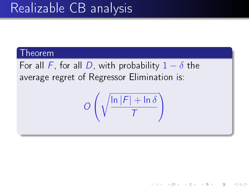### Realizable CB analysis

#### Theorem

For all F, for all D, with probability  $1 - \delta$  the average regret of Regressor Elimination is:

$$
O\left(\sqrt{\frac{\ln |F| + \ln \delta}{T}}\right)
$$

K ロ ▶ | K @ ▶ | K 끝 ▶ | K 끝 ▶ | | 말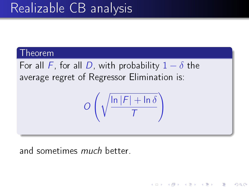## Realizable CB analysis

#### Theorem

For all F, for all D, with probability  $1 - \delta$  the average regret of Regressor Elimination is:

$$
O\left(\sqrt{\frac{\ln |F| + \ln \delta}{T}}\right)
$$

K ロ ▶ (K @ ) | K 글 ) | K 글 ) | [ 글

 $290$ 

and sometimes *much* better.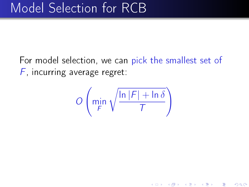For model selection, we can pick the smallest set of  $F$ , incurring average regret:

$$
O\left(\min_F \sqrt{\frac{\ln |F| + \ln \delta}{T}}\right)
$$

《 ロ 》 《 御 》 《 君 》 《 君 》 ○ 君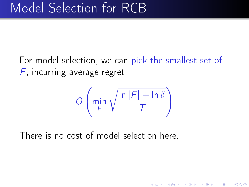For model selection, we can pick the smallest set of  $F$ , incurring average regret:

$$
O\left(\min_{F} \sqrt{\frac{\ln |F| + \ln \delta}{T}}\right)
$$

K ロ ▶ | K @ ▶ | K 끝 ▶ | K 끝 ▶ | | 말

 $299$ 

There is no cost of model selection here.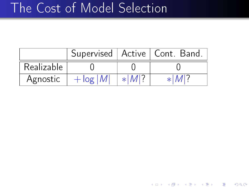## The Cost of Model Selection

|            |             | Supervised   Active   Cont. Band. |
|------------|-------------|-----------------------------------|
| Realizable |             |                                   |
| Agnostic   | $+$ log   M |                                   |